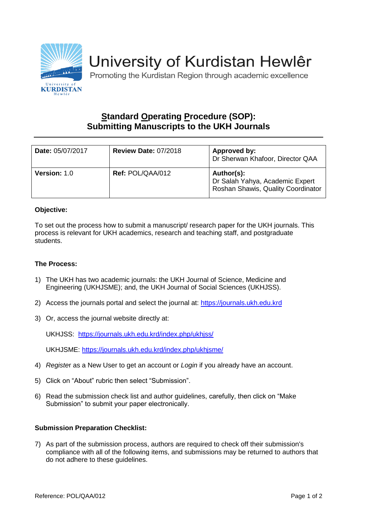

# University of Kurdistan Hewlêr

Promoting the Kurdistan Region through academic excellence

## **Standard Operating Procedure (SOP): Submitting Manuscripts to the UKH Journals**

| Date: 05/07/2017    | <b>Review Date: 07/2018</b> | Approved by:<br>Dr Sherwan Khafoor, Director QAA                                    |
|---------------------|-----------------------------|-------------------------------------------------------------------------------------|
| <b>Version: 1.0</b> | <b>Ref: POL/QAA/012</b>     | Author(s):<br>Dr Salah Yahya, Academic Expert<br>Roshan Shawis, Quality Coordinator |

#### **Objective:**

To set out the process how to submit a manuscript/ research paper for the UKH journals. This process is relevant for UKH academics, research and teaching staff, and postgraduate students.

### **The Process:**

- 1) The UKH has two academic journals: the UKH Journal of Science, Medicine and Engineering (UKHJSME); and, the UKH Journal of Social Sciences (UKHJSS).
- 2) Access the journals portal and select the journal at: [https://journals.ukh.edu.krd](https://journals.ukh.edu.krd/)
- 3) Or, access the journal website directly at:

UKHJSS: <https://journals.ukh.edu.krd/index.php/ukhjss/>

UKHJSME:<https://journals.ukh.edu.krd/index.php/ukhjsme/>

- 4) *Registe*r as a New User to get an account or *Login* if you already have an account.
- 5) Click on "About" rubric then select "Submission".
- 6) Read the submission check list and author guidelines, carefully, then click on "Make Submission" to submit your paper electronically.

#### **Submission Preparation Checklist:**

7) As part of the submission process, authors are required to check off their submission's compliance with all of the following items, and submissions may be returned to authors that do not adhere to these guidelines.